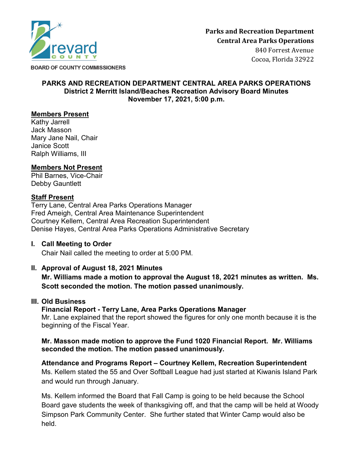

**BOARD OF COUNTY COMMISSIONERS** 

#### **PARKS AND RECREATION DEPARTMENT CENTRAL AREA PARKS OPERATIONS District 2 Merritt Island/Beaches Recreation Advisory Board Minutes November 17, 2021, 5:00 p.m.**

## **Members Present**

Kathy Jarrell Jack Masson Mary Jane Nail, Chair Janice Scott Ralph Williams, III

## **Members Not Present**

Phil Barnes, Vice-Chair Debby Gauntlett

## **Staff Present**

Terry Lane, Central Area Parks Operations Manager Fred Ameigh, Central Area Maintenance Superintendent Courtney Kellem, Central Area Recreation Superintendent Denise Hayes, Central Area Parks Operations Administrative Secretary

### **I. Call Meeting to Order**

Chair Nail called the meeting to order at 5:00 PM.

## **II. Approval of August 18, 2021 Minutes**

**Mr. Williams made a motion to approval the August 18, 2021 minutes as written. Ms. Scott seconded the motion. The motion passed unanimously.**

#### **III. Old Business**

#### **Financial Report - Terry Lane, Area Parks Operations Manager**

Mr. Lane explained that the report showed the figures for only one month because it is the beginning of the Fiscal Year.

## **Mr. Masson made motion to approve the Fund 1020 Financial Report. Mr. Williams seconded the motion. The motion passed unanimously.**

**Attendance and Programs Report – Courtney Kellem, Recreation Superintendent** Ms. Kellem stated the 55 and Over Softball League had just started at Kiwanis Island Park and would run through January.

Ms. Kellem informed the Board that Fall Camp is going to be held because the School Board gave students the week of thanksgiving off, and that the camp will be held at Woody Simpson Park Community Center. She further stated that Winter Camp would also be held.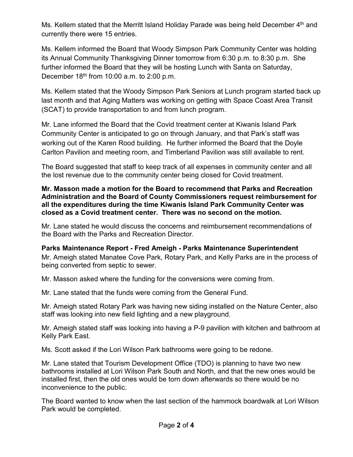Ms. Kellem stated that the Merritt Island Holiday Parade was being held December 4<sup>th</sup> and currently there were 15 entries.

Ms. Kellem informed the Board that Woody Simpson Park Community Center was holding its Annual Community Thanksgiving Dinner tomorrow from 6:30 p.m. to 8:30 p.m. She further informed the Board that they will be hosting Lunch with Santa on Saturday, December  $18<sup>th</sup>$  from 10:00 a.m. to 2:00 p.m.

Ms. Kellem stated that the Woody Simpson Park Seniors at Lunch program started back up last month and that Aging Matters was working on getting with Space Coast Area Transit (SCAT) to provide transportation to and from lunch program.

Mr. Lane informed the Board that the Covid treatment center at Kiwanis Island Park Community Center is anticipated to go on through January, and that Park's staff was working out of the Karen Rood building. He further informed the Board that the Doyle Carlton Pavilion and meeting room, and Timberland Pavilion was still available to rent.

The Board suggested that staff to keep track of all expenses in community center and all the lost revenue due to the community center being closed for Covid treatment.

### **Mr. Masson made a motion for the Board to recommend that Parks and Recreation Administration and the Board of County Commissioners request reimbursement for all the expenditures during the time Kiwanis Island Park Community Center was closed as a Covid treatment center. There was no second on the motion.**

Mr. Lane stated he would discuss the concerns and reimbursement recommendations of the Board with the Parks and Recreation Director.

**Parks Maintenance Report - Fred Ameigh - Parks Maintenance Superintendent** Mr. Ameigh stated Manatee Cove Park, Rotary Park, and Kelly Parks are in the process of being converted from septic to sewer.

Mr. Masson asked where the funding for the conversions were coming from.

Mr. Lane stated that the funds were coming from the General Fund.

Mr. Ameigh stated Rotary Park was having new siding installed on the Nature Center, also staff was looking into new field lighting and a new playground.

Mr. Ameigh stated staff was looking into having a P-9 pavilion with kitchen and bathroom at Kelly Park East.

Ms. Scott asked if the Lori Wilson Park bathrooms were going to be redone.

Mr. Lane stated that Tourism Development Office (TDO) is planning to have two new bathrooms installed at Lori Wilson Park South and North, and that the new ones would be installed first, then the old ones would be torn down afterwards so there would be no inconvenience to the public.

The Board wanted to know when the last section of the hammock boardwalk at Lori Wilson Park would be completed.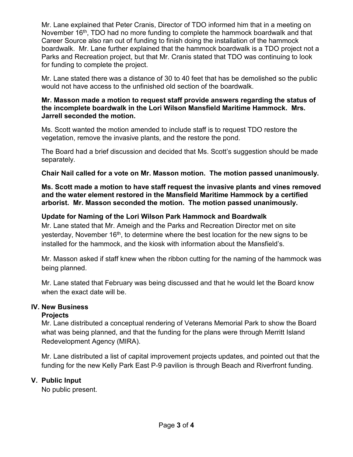Mr. Lane explained that Peter Cranis, Director of TDO informed him that in a meeting on November 16<sup>th</sup>, TDO had no more funding to complete the hammock boardwalk and that Career Source also ran out of funding to finish doing the installation of the hammock boardwalk. Mr. Lane further explained that the hammock boardwalk is a TDO project not a Parks and Recreation project, but that Mr. Cranis stated that TDO was continuing to look for funding to complete the project.

Mr. Lane stated there was a distance of 30 to 40 feet that has be demolished so the public would not have access to the unfinished old section of the boardwalk.

### **Mr. Masson made a motion to request staff provide answers regarding the status of the incomplete boardwalk in the Lori Wilson Mansfield Maritime Hammock. Mrs. Jarrell seconded the motion.**

Ms. Scott wanted the motion amended to include staff is to request TDO restore the vegetation, remove the invasive plants, and the restore the pond.

The Board had a brief discussion and decided that Ms. Scott's suggestion should be made separately.

**Chair Nail called for a vote on Mr. Masson motion. The motion passed unanimously.**

**Ms. Scott made a motion to have staff request the invasive plants and vines removed and the water element restored in the Mansfield Maritime Hammock by a certified arborist. Mr. Masson seconded the motion. The motion passed unanimously.**

# **Update for Naming of the Lori Wilson Park Hammock and Boardwalk**

Mr. Lane stated that Mr. Ameigh and the Parks and Recreation Director met on site yesterday, November  $16<sup>th</sup>$ , to determine where the best location for the new signs to be installed for the hammock, and the kiosk with information about the Mansfield's.

Mr. Masson asked if staff knew when the ribbon cutting for the naming of the hammock was being planned.

Mr. Lane stated that February was being discussed and that he would let the Board know when the exact date will be.

## **IV. New Business**

## **Projects**

Mr. Lane distributed a conceptual rendering of Veterans Memorial Park to show the Board what was being planned, and that the funding for the plans were through Merritt Island Redevelopment Agency (MIRA).

Mr. Lane distributed a list of capital improvement projects updates, and pointed out that the funding for the new Kelly Park East P-9 pavilion is through Beach and Riverfront funding.

## **V. Public Input**

No public present.